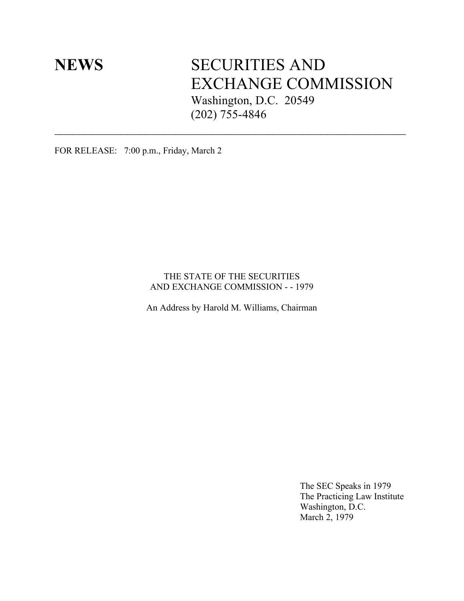# **NEWS** SECURITIES AND EXCHANGE COMMISSION Washington, D.C. 20549 (202) 755-4846

FOR RELEASE: 7:00 p.m., Friday, March 2

#### THE STATE OF THE SECURITIES AND EXCHANGE COMMISSION - - 1979

 $\mathcal{L}_\text{max}$  and the contract of the contract of the contract of the contract of the contract of the contract of

An Address by Harold M. Williams, Chairman

The SEC Speaks in 1979 The Practicing Law Institute Washington, D.C. March 2, 1979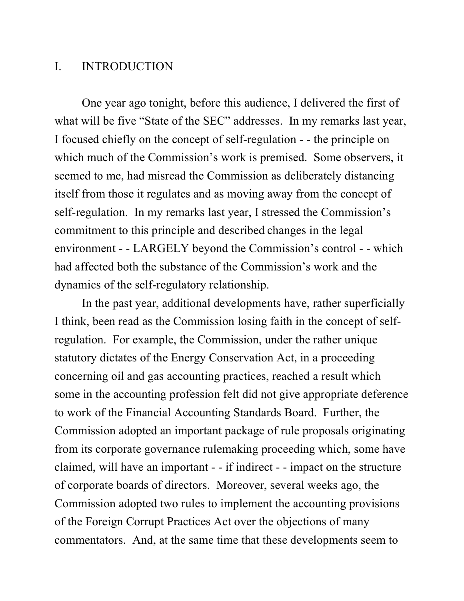#### I. INTRODUCTION

One year ago tonight, before this audience, I delivered the first of what will be five "State of the SEC" addresses. In my remarks last year, I focused chiefly on the concept of self-regulation - - the principle on which much of the Commission's work is premised. Some observers, it seemed to me, had misread the Commission as deliberately distancing itself from those it regulates and as moving away from the concept of self-regulation. In my remarks last year, I stressed the Commission's commitment to this principle and described changes in the legal environment - - LARGELY beyond the Commission's control - - which had affected both the substance of the Commission's work and the dynamics of the self-regulatory relationship.

In the past year, additional developments have, rather superficially I think, been read as the Commission losing faith in the concept of selfregulation. For example, the Commission, under the rather unique statutory dictates of the Energy Conservation Act, in a proceeding concerning oil and gas accounting practices, reached a result which some in the accounting profession felt did not give appropriate deference to work of the Financial Accounting Standards Board. Further, the Commission adopted an important package of rule proposals originating from its corporate governance rulemaking proceeding which, some have claimed, will have an important - - if indirect - - impact on the structure of corporate boards of directors. Moreover, several weeks ago, the Commission adopted two rules to implement the accounting provisions of the Foreign Corrupt Practices Act over the objections of many commentators. And, at the same time that these developments seem to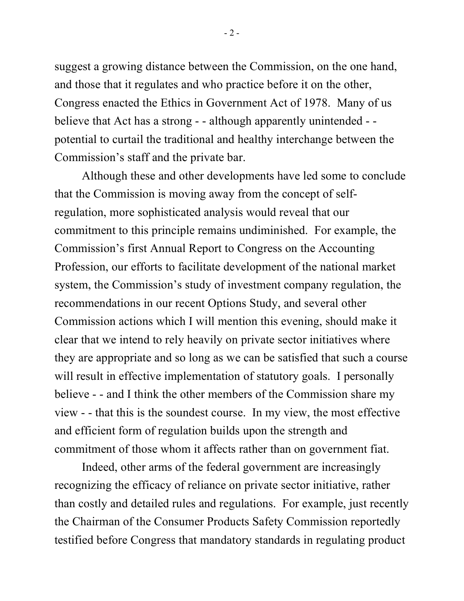suggest a growing distance between the Commission, on the one hand, and those that it regulates and who practice before it on the other, Congress enacted the Ethics in Government Act of 1978. Many of us believe that Act has a strong - - although apparently unintended - potential to curtail the traditional and healthy interchange between the Commission's staff and the private bar.

Although these and other developments have led some to conclude that the Commission is moving away from the concept of selfregulation, more sophisticated analysis would reveal that our commitment to this principle remains undiminished. For example, the Commission's first Annual Report to Congress on the Accounting Profession, our efforts to facilitate development of the national market system, the Commission's study of investment company regulation, the recommendations in our recent Options Study, and several other Commission actions which I will mention this evening, should make it clear that we intend to rely heavily on private sector initiatives where they are appropriate and so long as we can be satisfied that such a course will result in effective implementation of statutory goals. I personally believe - - and I think the other members of the Commission share my view - - that this is the soundest course. In my view, the most effective and efficient form of regulation builds upon the strength and commitment of those whom it affects rather than on government fiat.

Indeed, other arms of the federal government are increasingly recognizing the efficacy of reliance on private sector initiative, rather than costly and detailed rules and regulations. For example, just recently the Chairman of the Consumer Products Safety Commission reportedly testified before Congress that mandatory standards in regulating product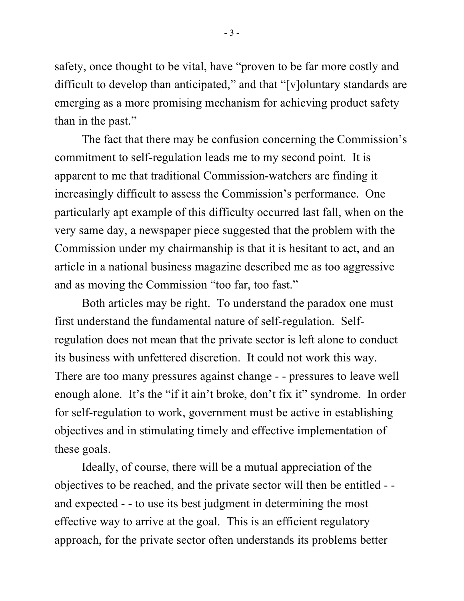safety, once thought to be vital, have "proven to be far more costly and difficult to develop than anticipated," and that "[v]oluntary standards are emerging as a more promising mechanism for achieving product safety than in the past."

The fact that there may be confusion concerning the Commission's commitment to self-regulation leads me to my second point. It is apparent to me that traditional Commission-watchers are finding it increasingly difficult to assess the Commission's performance. One particularly apt example of this difficulty occurred last fall, when on the very same day, a newspaper piece suggested that the problem with the Commission under my chairmanship is that it is hesitant to act, and an article in a national business magazine described me as too aggressive and as moving the Commission "too far, too fast."

Both articles may be right. To understand the paradox one must first understand the fundamental nature of self-regulation. Selfregulation does not mean that the private sector is left alone to conduct its business with unfettered discretion. It could not work this way. There are too many pressures against change - - pressures to leave well enough alone. It's the "if it ain't broke, don't fix it" syndrome. In order for self-regulation to work, government must be active in establishing objectives and in stimulating timely and effective implementation of these goals.

Ideally, of course, there will be a mutual appreciation of the objectives to be reached, and the private sector will then be entitled - and expected - - to use its best judgment in determining the most effective way to arrive at the goal. This is an efficient regulatory approach, for the private sector often understands its problems better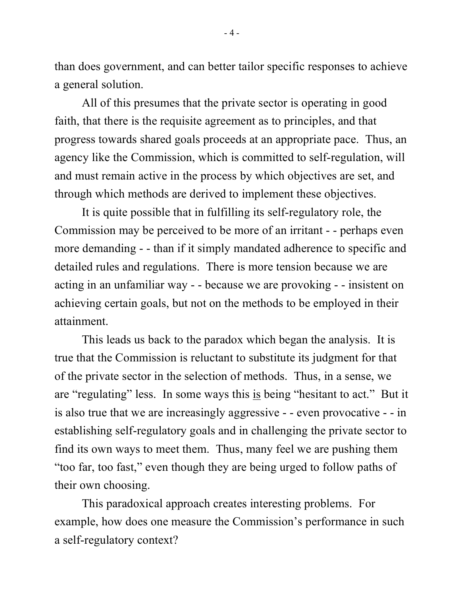than does government, and can better tailor specific responses to achieve a general solution.

All of this presumes that the private sector is operating in good faith, that there is the requisite agreement as to principles, and that progress towards shared goals proceeds at an appropriate pace. Thus, an agency like the Commission, which is committed to self-regulation, will and must remain active in the process by which objectives are set, and through which methods are derived to implement these objectives.

It is quite possible that in fulfilling its self-regulatory role, the Commission may be perceived to be more of an irritant - - perhaps even more demanding - - than if it simply mandated adherence to specific and detailed rules and regulations. There is more tension because we are acting in an unfamiliar way - - because we are provoking - - insistent on achieving certain goals, but not on the methods to be employed in their attainment.

This leads us back to the paradox which began the analysis. It is true that the Commission is reluctant to substitute its judgment for that of the private sector in the selection of methods. Thus, in a sense, we are "regulating" less. In some ways this is being "hesitant to act." But it is also true that we are increasingly aggressive - - even provocative - - in establishing self-regulatory goals and in challenging the private sector to find its own ways to meet them. Thus, many feel we are pushing them "too far, too fast," even though they are being urged to follow paths of their own choosing.

This paradoxical approach creates interesting problems. For example, how does one measure the Commission's performance in such a self-regulatory context?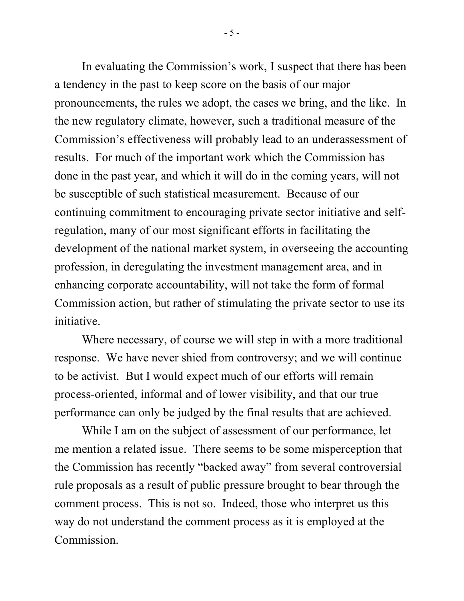In evaluating the Commission's work, I suspect that there has been a tendency in the past to keep score on the basis of our major pronouncements, the rules we adopt, the cases we bring, and the like. In the new regulatory climate, however, such a traditional measure of the Commission's effectiveness will probably lead to an underassessment of results. For much of the important work which the Commission has done in the past year, and which it will do in the coming years, will not be susceptible of such statistical measurement. Because of our continuing commitment to encouraging private sector initiative and selfregulation, many of our most significant efforts in facilitating the development of the national market system, in overseeing the accounting profession, in deregulating the investment management area, and in enhancing corporate accountability, will not take the form of formal Commission action, but rather of stimulating the private sector to use its initiative.

Where necessary, of course we will step in with a more traditional response. We have never shied from controversy; and we will continue to be activist. But I would expect much of our efforts will remain process-oriented, informal and of lower visibility, and that our true performance can only be judged by the final results that are achieved.

While I am on the subject of assessment of our performance, let me mention a related issue. There seems to be some misperception that the Commission has recently "backed away" from several controversial rule proposals as a result of public pressure brought to bear through the comment process. This is not so. Indeed, those who interpret us this way do not understand the comment process as it is employed at the Commission.

- 5 -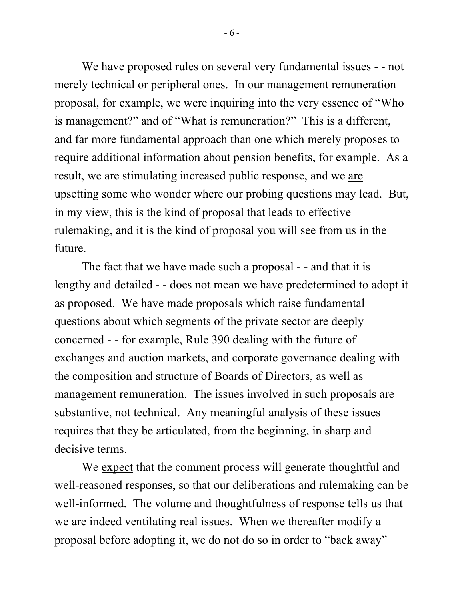We have proposed rules on several very fundamental issues - - not merely technical or peripheral ones. In our management remuneration proposal, for example, we were inquiring into the very essence of "Who is management?" and of "What is remuneration?" This is a different, and far more fundamental approach than one which merely proposes to require additional information about pension benefits, for example. As a result, we are stimulating increased public response, and we are upsetting some who wonder where our probing questions may lead. But, in my view, this is the kind of proposal that leads to effective rulemaking, and it is the kind of proposal you will see from us in the future.

The fact that we have made such a proposal - - and that it is lengthy and detailed - - does not mean we have predetermined to adopt it as proposed. We have made proposals which raise fundamental questions about which segments of the private sector are deeply concerned - - for example, Rule 390 dealing with the future of exchanges and auction markets, and corporate governance dealing with the composition and structure of Boards of Directors, as well as management remuneration. The issues involved in such proposals are substantive, not technical. Any meaningful analysis of these issues requires that they be articulated, from the beginning, in sharp and decisive terms.

We <u>expect</u> that the comment process will generate thoughtful and well-reasoned responses, so that our deliberations and rulemaking can be well-informed. The volume and thoughtfulness of response tells us that we are indeed ventilating <u>real</u> issues. When we thereafter modify a proposal before adopting it, we do not do so in order to "back away"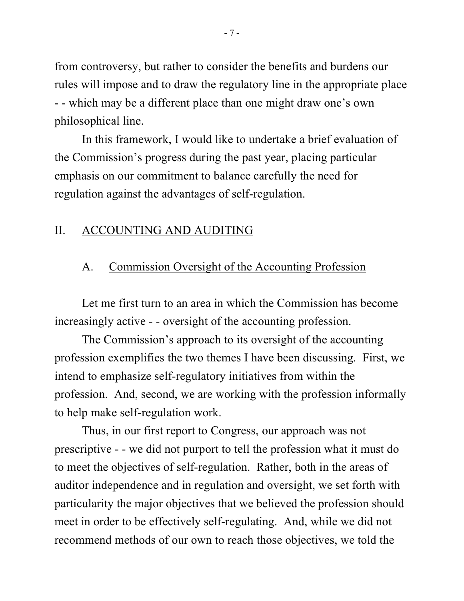from controversy, but rather to consider the benefits and burdens our rules will impose and to draw the regulatory line in the appropriate place - - which may be a different place than one might draw one's own philosophical line.

In this framework, I would like to undertake a brief evaluation of the Commission's progress during the past year, placing particular emphasis on our commitment to balance carefully the need for regulation against the advantages of self-regulation.

#### II. ACCOUNTING AND AUDITING

### A. Commission Oversight of the Accounting Profession

Let me first turn to an area in which the Commission has become increasingly active - - oversight of the accounting profession.

The Commission's approach to its oversight of the accounting profession exemplifies the two themes I have been discussing. First, we intend to emphasize self-regulatory initiatives from within the profession. And, second, we are working with the profession informally to help make self-regulation work.

Thus, in our first report to Congress, our approach was not prescriptive - - we did not purport to tell the profession what it must do to meet the objectives of self-regulation. Rather, both in the areas of auditor independence and in regulation and oversight, we set forth with particularity the major objectives that we believed the profession should meet in order to be effectively self-regulating. And, while we did not recommend methods of our own to reach those objectives, we told the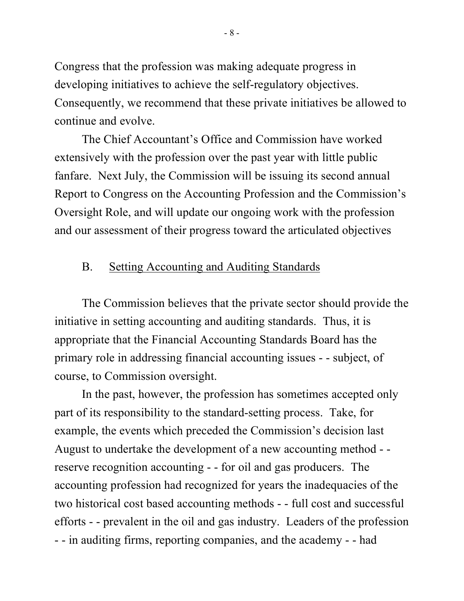Congress that the profession was making adequate progress in developing initiatives to achieve the self-regulatory objectives. Consequently, we recommend that these private initiatives be allowed to continue and evolve.

The Chief Accountant's Office and Commission have worked extensively with the profession over the past year with little public fanfare. Next July, the Commission will be issuing its second annual Report to Congress on the Accounting Profession and the Commission's Oversight Role, and will update our ongoing work with the profession and our assessment of their progress toward the articulated objectives

#### B. Setting Accounting and Auditing Standards

The Commission believes that the private sector should provide the initiative in setting accounting and auditing standards. Thus, it is appropriate that the Financial Accounting Standards Board has the primary role in addressing financial accounting issues - - subject, of course, to Commission oversight.

In the past, however, the profession has sometimes accepted only part of its responsibility to the standard-setting process. Take, for example, the events which preceded the Commission's decision last August to undertake the development of a new accounting method - reserve recognition accounting - - for oil and gas producers. The accounting profession had recognized for years the inadequacies of the two historical cost based accounting methods - - full cost and successful efforts - - prevalent in the oil and gas industry. Leaders of the profession - - in auditing firms, reporting companies, and the academy - - had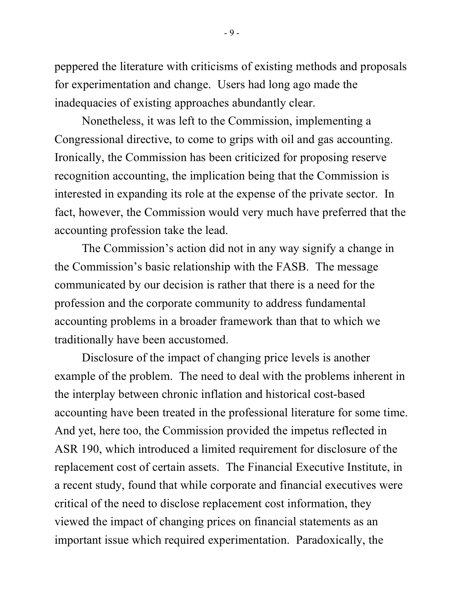peppered the literature with criticisms of existing methods and proposals for experimentation and change. Users had long ago made the inadequacies of existing approaches abundantly clear.

Nonetheless, it was left to the Commission, implementing a Congressional directive, to come to grips with oil and gas accounting. Ironically, the Commission has been criticized for proposing reserve recognition accounting, the implication being that the Commission is interested in expanding its role at the expense of the private sector. In fact, however, the Commission would very much have preferred that the accounting profession take the lead.

The Commission's action did not in any way signify a change in the Commission's basic relationship with the FASB. The message communicated by our decision is rather that there is a need for the profession and the corporate community to address fundamental accounting problems in a broader framework than that to which we traditionally have been accustomed.

Disclosure of the impact of changing price levels is another example of the problem. The need to deal with the problems inherent in the interplay between chronic inflation and historical cost-based accounting have been treated in the professional literature for some time. And yet, here too, the Commission provided the impetus reflected in ASR 190, which introduced a limited requirement for disclosure of the replacement cost of certain assets. The Financial Executive Institute, in a recent study, found that while corporate and financial executives were critical of the need to disclose replacement cost information, they viewed the impact of changing prices on financial statements as an important issue which required experimentation. Paradoxically, the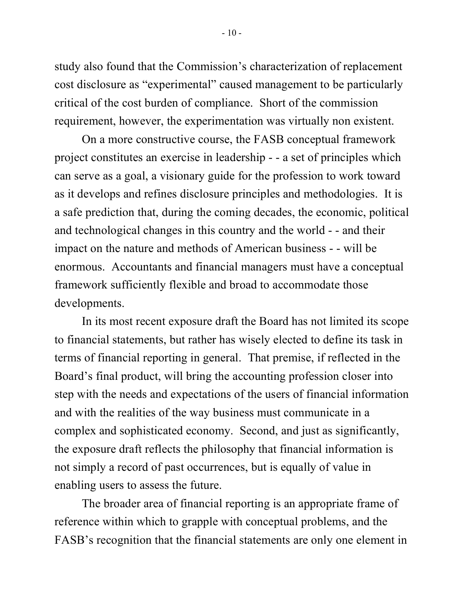study also found that the Commission's characterization of replacement cost disclosure as "experimental" caused management to be particularly critical of the cost burden of compliance. Short of the commission requirement, however, the experimentation was virtually non existent.

On a more constructive course, the FASB conceptual framework project constitutes an exercise in leadership - - a set of principles which can serve as a goal, a visionary guide for the profession to work toward as it develops and refines disclosure principles and methodologies. It is a safe prediction that, during the coming decades, the economic, political and technological changes in this country and the world - - and their impact on the nature and methods of American business - - will be enormous. Accountants and financial managers must have a conceptual framework sufficiently flexible and broad to accommodate those developments.

In its most recent exposure draft the Board has not limited its scope to financial statements, but rather has wisely elected to define its task in terms of financial reporting in general. That premise, if reflected in the Board's final product, will bring the accounting profession closer into step with the needs and expectations of the users of financial information and with the realities of the way business must communicate in a complex and sophisticated economy. Second, and just as significantly, the exposure draft reflects the philosophy that financial information is not simply a record of past occurrences, but is equally of value in enabling users to assess the future.

The broader area of financial reporting is an appropriate frame of reference within which to grapple with conceptual problems, and the FASB's recognition that the financial statements are only one element in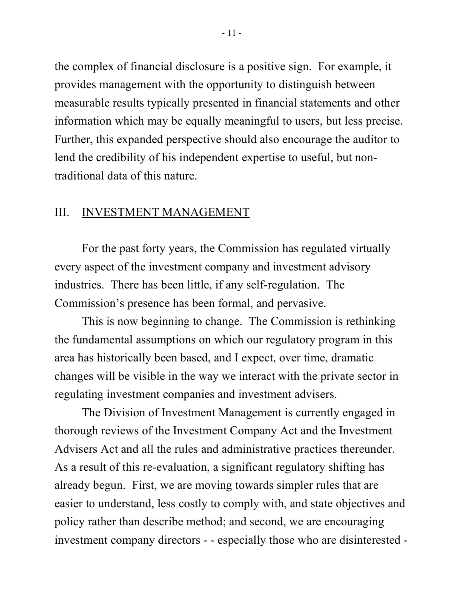the complex of financial disclosure is a positive sign. For example, it provides management with the opportunity to distinguish between measurable results typically presented in financial statements and other information which may be equally meaningful to users, but less precise. Further, this expanded perspective should also encourage the auditor to lend the credibility of his independent expertise to useful, but nontraditional data of this nature.

#### III. INVESTMENT MANAGEMENT

For the past forty years, the Commission has regulated virtually every aspect of the investment company and investment advisory industries. There has been little, if any self-regulation. The Commission's presence has been formal, and pervasive.

This is now beginning to change. The Commission is rethinking the fundamental assumptions on which our regulatory program in this area has historically been based, and I expect, over time, dramatic changes will be visible in the way we interact with the private sector in regulating investment companies and investment advisers.

The Division of Investment Management is currently engaged in thorough reviews of the Investment Company Act and the Investment Advisers Act and all the rules and administrative practices thereunder. As a result of this re-evaluation, a significant regulatory shifting has already begun. First, we are moving towards simpler rules that are easier to understand, less costly to comply with, and state objectives and policy rather than describe method; and second, we are encouraging investment company directors - - especially those who are disinterested -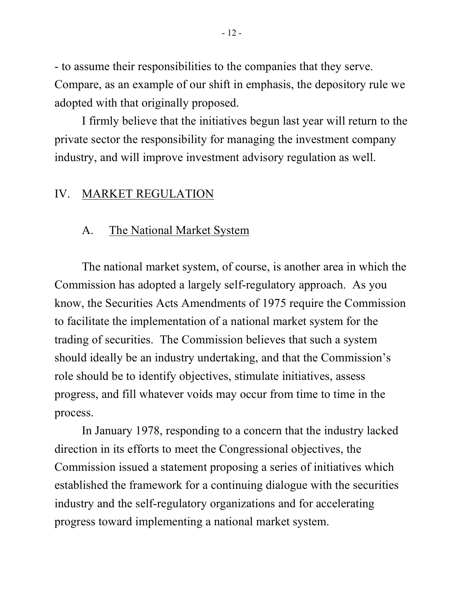- to assume their responsibilities to the companies that they serve. Compare, as an example of our shift in emphasis, the depository rule we adopted with that originally proposed.

I firmly believe that the initiatives begun last year will return to the private sector the responsibility for managing the investment company industry, and will improve investment advisory regulation as well.

#### IV. MARKET REGULATION

#### A. The National Market System

The national market system, of course, is another area in which the Commission has adopted a largely self-regulatory approach. As you know, the Securities Acts Amendments of 1975 require the Commission to facilitate the implementation of a national market system for the trading of securities. The Commission believes that such a system should ideally be an industry undertaking, and that the Commission's role should be to identify objectives, stimulate initiatives, assess progress, and fill whatever voids may occur from time to time in the process.

In January 1978, responding to a concern that the industry lacked direction in its efforts to meet the Congressional objectives, the Commission issued a statement proposing a series of initiatives which established the framework for a continuing dialogue with the securities industry and the self-regulatory organizations and for accelerating progress toward implementing a national market system.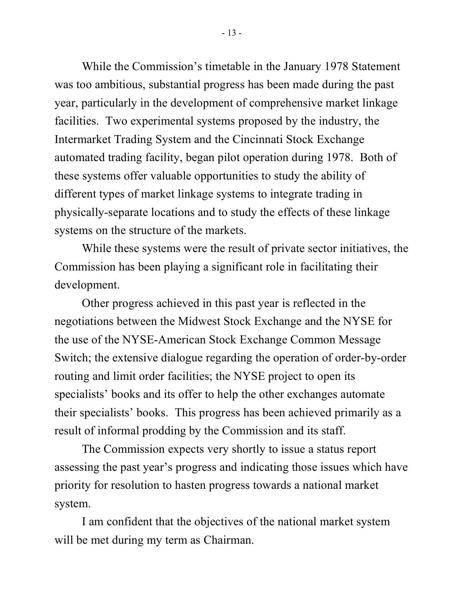While the Commission's timetable in the January 1978 Statement was too ambitious, substantial progress has been made during the past year, particularly in the development of comprehensive market linkage facilities. Two experimental systems proposed by the industry, the Intermarket Trading System and the Cincinnati Stock Exchange automated trading facility, began pilot operation during 1978. Both of these systems offer valuable opportunities to study the ability of different types of market linkage systems to integrate trading in physically-separate locations and to study the effects of these linkage systems on the structure of the markets.

While these systems were the result of private sector initiatives, the Commission has been playing a significant role in facilitating their development.

Other progress achieved in this past year is reflected in the negotiations between the Midwest Stock Exchange and the NYSE for the use of the NYSE-American Stock Exchange Common Message Switch; the extensive dialogue regarding the operation of order-by-order routing and limit order facilities; the NYSE project to open its specialists' books and its offer to help the other exchanges automate their specialists' books. This progress has been achieved primarily as a result of informal prodding by the Commission and its staff.

The Commission expects very shortly to issue a status report assessing the past year's progress and indicating those issues which have priority for resolution to hasten progress towards a national market system.

I am confident that the objectives of the national market system will be met during my term as Chairman.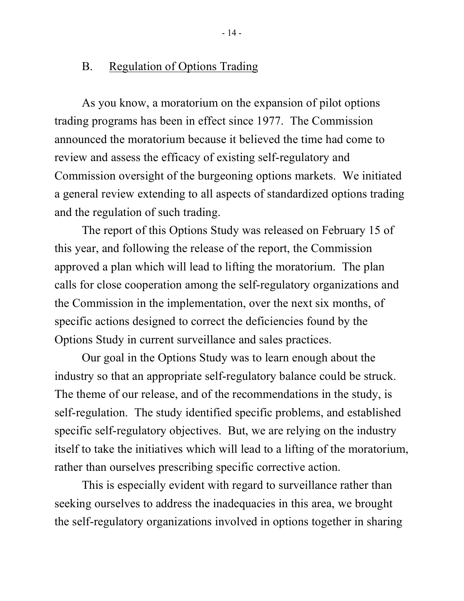#### B. Regulation of Options Trading

As you know, a moratorium on the expansion of pilot options trading programs has been in effect since 1977. The Commission announced the moratorium because it believed the time had come to review and assess the efficacy of existing self-regulatory and Commission oversight of the burgeoning options markets. We initiated a general review extending to all aspects of standardized options trading and the regulation of such trading.

The report of this Options Study was released on February 15 of this year, and following the release of the report, the Commission approved a plan which will lead to lifting the moratorium. The plan calls for close cooperation among the self-regulatory organizations and the Commission in the implementation, over the next six months, of specific actions designed to correct the deficiencies found by the Options Study in current surveillance and sales practices.

Our goal in the Options Study was to learn enough about the industry so that an appropriate self-regulatory balance could be struck. The theme of our release, and of the recommendations in the study, is self-regulation. The study identified specific problems, and established specific self-regulatory objectives. But, we are relying on the industry itself to take the initiatives which will lead to a lifting of the moratorium, rather than ourselves prescribing specific corrective action.

This is especially evident with regard to surveillance rather than seeking ourselves to address the inadequacies in this area, we brought the self-regulatory organizations involved in options together in sharing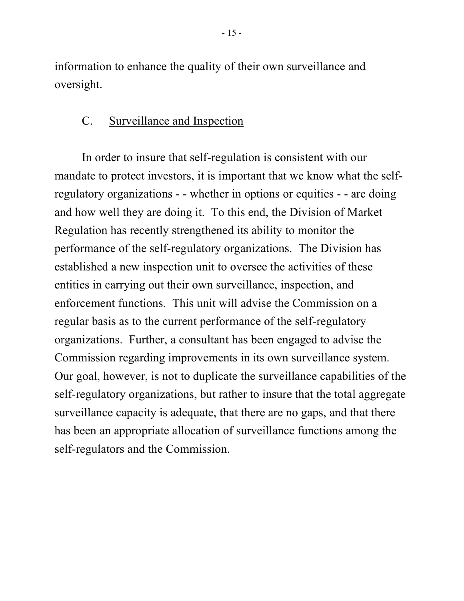information to enhance the quality of their own surveillance and oversight.

### C. Surveillance and Inspection

In order to insure that self-regulation is consistent with our mandate to protect investors, it is important that we know what the selfregulatory organizations - - whether in options or equities - - are doing and how well they are doing it. To this end, the Division of Market Regulation has recently strengthened its ability to monitor the performance of the self-regulatory organizations. The Division has established a new inspection unit to oversee the activities of these entities in carrying out their own surveillance, inspection, and enforcement functions. This unit will advise the Commission on a regular basis as to the current performance of the self-regulatory organizations. Further, a consultant has been engaged to advise the Commission regarding improvements in its own surveillance system. Our goal, however, is not to duplicate the surveillance capabilities of the self-regulatory organizations, but rather to insure that the total aggregate surveillance capacity is adequate, that there are no gaps, and that there has been an appropriate allocation of surveillance functions among the self-regulators and the Commission.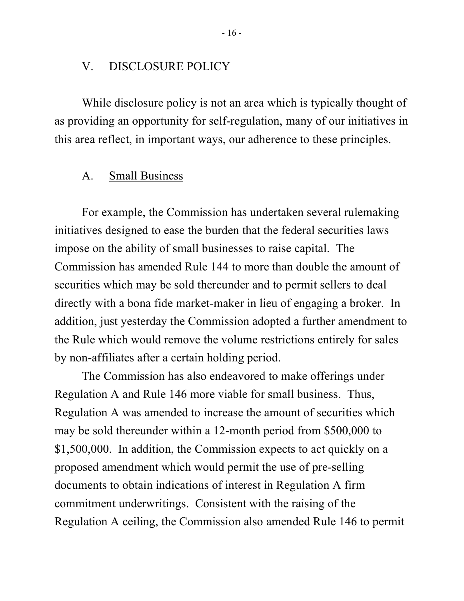#### V. DISCLOSURE POLICY

While disclosure policy is not an area which is typically thought of as providing an opportunity for self-regulation, many of our initiatives in this area reflect, in important ways, our adherence to these principles.

#### A. Small Business

For example, the Commission has undertaken several rulemaking initiatives designed to ease the burden that the federal securities laws impose on the ability of small businesses to raise capital. The Commission has amended Rule 144 to more than double the amount of securities which may be sold thereunder and to permit sellers to deal directly with a bona fide market-maker in lieu of engaging a broker. In addition, just yesterday the Commission adopted a further amendment to the Rule which would remove the volume restrictions entirely for sales by non-affiliates after a certain holding period.

The Commission has also endeavored to make offerings under Regulation A and Rule 146 more viable for small business. Thus, Regulation A was amended to increase the amount of securities which may be sold thereunder within a 12-month period from \$500,000 to \$1,500,000. In addition, the Commission expects to act quickly on a proposed amendment which would permit the use of pre-selling documents to obtain indications of interest in Regulation A firm commitment underwritings. Consistent with the raising of the Regulation A ceiling, the Commission also amended Rule 146 to permit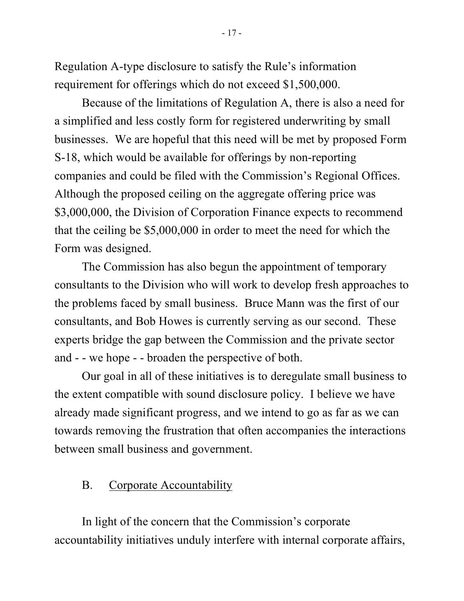Regulation A-type disclosure to satisfy the Rule's information requirement for offerings which do not exceed \$1,500,000.

Because of the limitations of Regulation A, there is also a need for a simplified and less costly form for registered underwriting by small businesses. We are hopeful that this need will be met by proposed Form S-18, which would be available for offerings by non-reporting companies and could be filed with the Commission's Regional Offices. Although the proposed ceiling on the aggregate offering price was \$3,000,000, the Division of Corporation Finance expects to recommend that the ceiling be \$5,000,000 in order to meet the need for which the Form was designed.

The Commission has also begun the appointment of temporary consultants to the Division who will work to develop fresh approaches to the problems faced by small business. Bruce Mann was the first of our consultants, and Bob Howes is currently serving as our second. These experts bridge the gap between the Commission and the private sector and - - we hope - - broaden the perspective of both.

Our goal in all of these initiatives is to deregulate small business to the extent compatible with sound disclosure policy. I believe we have already made significant progress, and we intend to go as far as we can towards removing the frustration that often accompanies the interactions between small business and government.

## B. Corporate Accountability

In light of the concern that the Commission's corporate accountability initiatives unduly interfere with internal corporate affairs,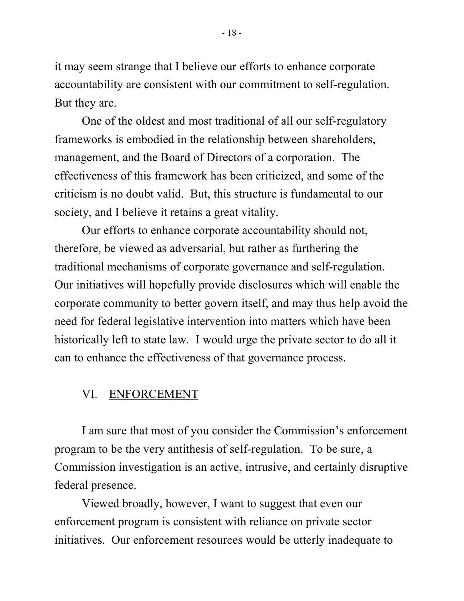it may seem strange that I believe our efforts to enhance corporate accountability are consistent with our commitment to self-regulation. But they are.

One of the oldest and most traditional of all our self-regulatory frameworks is embodied in the relationship between shareholders, management, and the Board of Directors of a corporation. The effectiveness of this framework has been criticized, and some of the criticism is no doubt valid. But, this structure is fundamental to our society, and I believe it retains a great vitality.

Our efforts to enhance corporate accountability should not, therefore, be viewed as adversarial, but rather as furthering the traditional mechanisms of corporate governance and self-regulation. Our initiatives will hopefully provide disclosures which will enable the corporate community to better govern itself, and may thus help avoid the need for federal legislative intervention into matters which have been historically left to state law. I would urge the private sector to do all it can to enhance the effectiveness of that governance process.

#### VI. ENFORCEMENT

I am sure that most of you consider the Commission's enforcement program to be the very antithesis of self-regulation. To be sure, a Commission investigation is an active, intrusive, and certainly disruptive federal presence.

Viewed broadly, however, I want to suggest that even our enforcement program is consistent with reliance on private sector initiatives. Our enforcement resources would be utterly inadequate to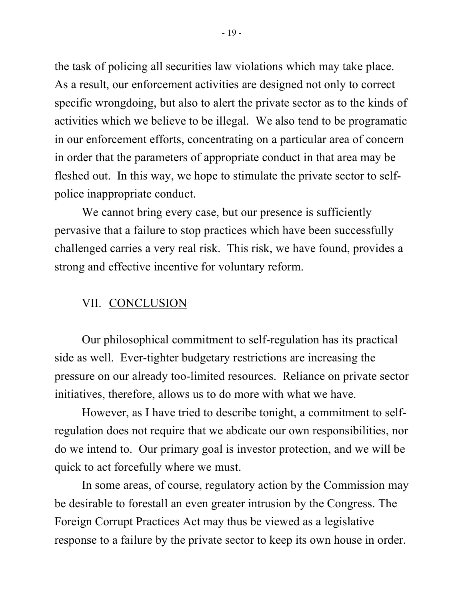the task of policing all securities law violations which may take place. As a result, our enforcement activities are designed not only to correct specific wrongdoing, but also to alert the private sector as to the kinds of activities which we believe to be illegal. We also tend to be programatic in our enforcement efforts, concentrating on a particular area of concern in order that the parameters of appropriate conduct in that area may be fleshed out. In this way, we hope to stimulate the private sector to selfpolice inappropriate conduct.

We cannot bring every case, but our presence is sufficiently pervasive that a failure to stop practices which have been successfully challenged carries a very real risk. This risk, we have found, provides a strong and effective incentive for voluntary reform.

#### VII. CONCLUSION

Our philosophical commitment to self-regulation has its practical side as well. Ever-tighter budgetary restrictions are increasing the pressure on our already too-limited resources. Reliance on private sector initiatives, therefore, allows us to do more with what we have.

However, as I have tried to describe tonight, a commitment to selfregulation does not require that we abdicate our own responsibilities, nor do we intend to. Our primary goal is investor protection, and we will be quick to act forcefully where we must.

In some areas, of course, regulatory action by the Commission may be desirable to forestall an even greater intrusion by the Congress. The Foreign Corrupt Practices Act may thus be viewed as a legislative response to a failure by the private sector to keep its own house in order.